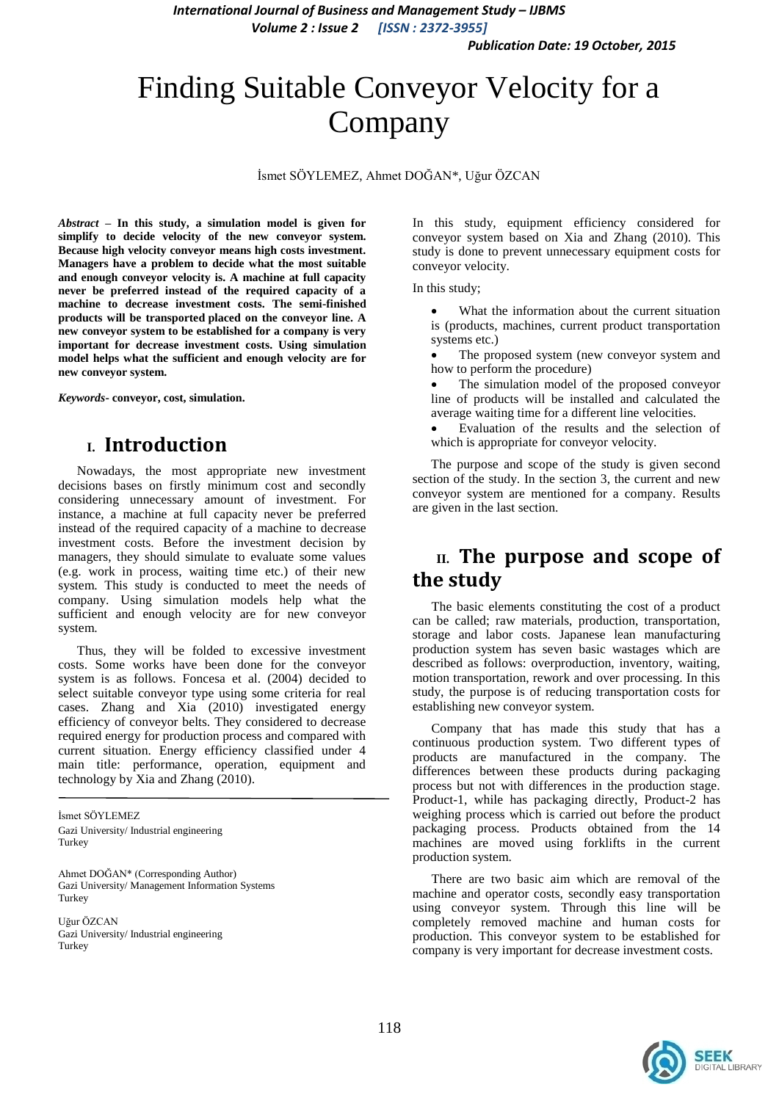*International Journal of Business and Management Study – IJBMS Volume 2 : Issue 2 [ISSN : 2372-3955]*

# Finding Suitable Conveyor Velocity for a Company

Ġsmet SÖYLEMEZ, Ahmet DOĞAN\*, Uğur ÖZCAN

*Abstract* **– In this study, a simulation model is given for simplify to decide velocity of the new conveyor system. Because high velocity conveyor means high costs investment. Managers have a problem to decide what the most suitable and enough conveyor velocity is. A machine at full capacity never be preferred instead of the required capacity of a machine to decrease investment costs. The semi-finished products will be transported placed on the conveyor line. A new conveyor system to be established for a company is very important for decrease investment costs. Using simulation model helps what the sufficient and enough velocity are for new conveyor system.** 

*Keywords***- conveyor, cost, simulation.**

## **I. Introduction**

Nowadays, the most appropriate new investment decisions bases on firstly minimum cost and secondly considering unnecessary amount of investment. For instance, a machine at full capacity never be preferred instead of the required capacity of a machine to decrease investment costs. Before the investment decision by managers, they should simulate to evaluate some values (e.g. work in process, waiting time etc.) of their new system. This study is conducted to meet the needs of company. Using simulation models help what the sufficient and enough velocity are for new conveyor system.

Thus, they will be folded to excessive investment costs. Some works have been done for the conveyor system is as follows. Foncesa et al. (2004) decided to select suitable conveyor type using some criteria for real cases. Zhang and Xia (2010) investigated energy efficiency of conveyor belts. They considered to decrease required energy for production process and compared with current situation. Energy efficiency classified under 4 main title: performance, operation, equipment and technology by Xia and Zhang (2010).

İsmet SÖYLEMEZ Gazi University/ Industrial engineering Turkey

Ahmet DOĞAN\* (Corresponding Author) Gazi University/ Management Information Systems Turkey

Uğur ÖZCAN Gazi University/ Industrial engineering **Turkey** 

In this study, equipment efficiency considered for conveyor system based on Xia and Zhang (2010). This study is done to prevent unnecessary equipment costs for conveyor velocity.

In this study;

- What the information about the current situation is (products, machines, current product transportation systems etc.)
- The proposed system (new conveyor system and how to perform the procedure)

 The simulation model of the proposed conveyor line of products will be installed and calculated the average waiting time for a different line velocities.

 Evaluation of the results and the selection of which is appropriate for conveyor velocity.

The purpose and scope of the study is given second section of the study. In the section 3, the current and new conveyor system are mentioned for a company. Results are given in the last section.

# **II. The purpose and scope of the study**

The basic elements constituting the cost of a product can be called; raw materials, production, transportation, storage and labor costs. Japanese lean manufacturing production system has seven basic wastages which are described as follows: overproduction, inventory, waiting, motion transportation, rework and over processing. In this study, the purpose is of reducing transportation costs for establishing new conveyor system.

Company that has made this study that has a continuous production system. Two different types of products are manufactured in the company. The differences between these products during packaging process but not with differences in the production stage. Product-1, while has packaging directly, Product-2 has weighing process which is carried out before the product packaging process. Products obtained from the 14 machines are moved using forklifts in the current production system.

There are two basic aim which are removal of the machine and operator costs, secondly easy transportation using conveyor system. Through this line will be completely removed machine and human costs for production. This conveyor system to be established for company is very important for decrease investment costs.

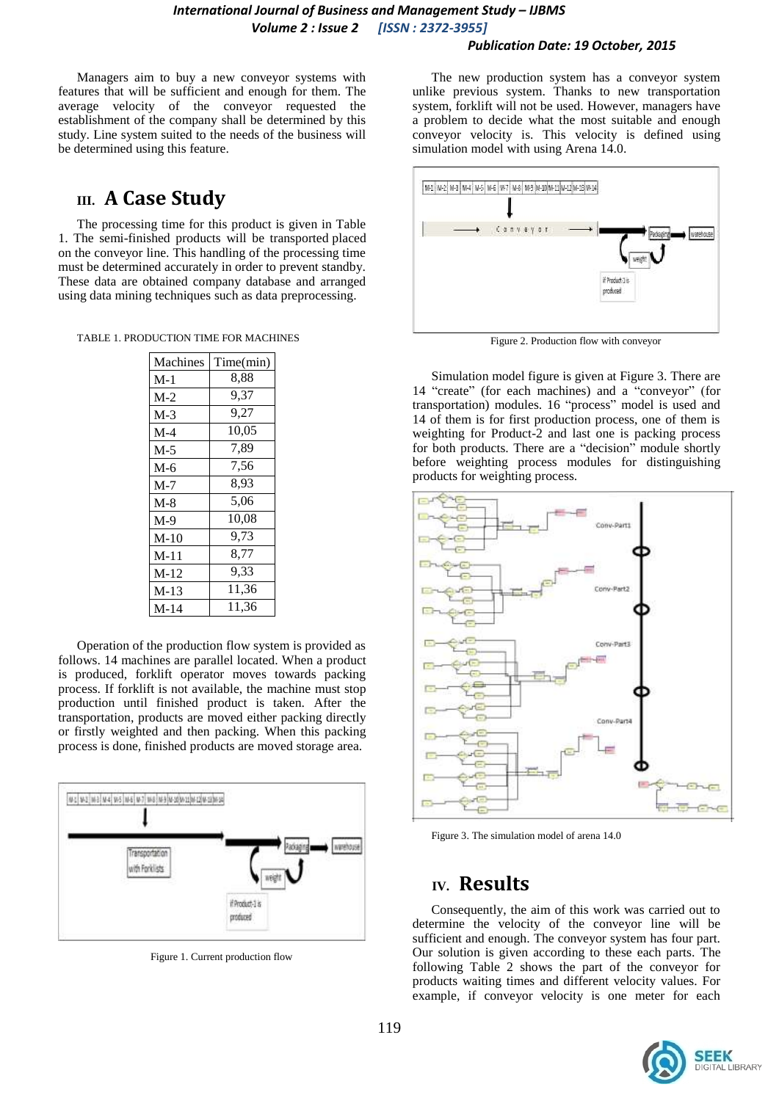## *Publication Date: 19 October, 2015*

Managers aim to buy a new conveyor systems with features that will be sufficient and enough for them. The average velocity of the conveyor requested the establishment of the company shall be determined by this study. Line system suited to the needs of the business will be determined using this feature.

# **III. A Case Study**

The processing time for this product is given in Table 1. The semi-finished products will be transported placed on the conveyor line. This handling of the processing time must be determined accurately in order to prevent standby. These data are obtained company database and arranged using data mining techniques such as data preprocessing.

TABLE 1. PRODUCTION TIME FOR MACHINES

| Machines | Time(min) |  |  |  |
|----------|-----------|--|--|--|
| $M-1$    | 8.88      |  |  |  |
| $M-2$    | 9,37      |  |  |  |
| $M-3$    | 9.27      |  |  |  |
| $M-4$    | 10,05     |  |  |  |
| $M-5$    | 7.89      |  |  |  |
| $M-6$    | 7,56      |  |  |  |
| $M-7$    | 8,93      |  |  |  |
| $M-8$    | 5,06      |  |  |  |
| $M-9$    | 10.08     |  |  |  |
| $M-10$   | 9,73      |  |  |  |
| $M-11$   | 8,77      |  |  |  |
| $M-12$   | 9,33      |  |  |  |
| $M-13$   | 11,36     |  |  |  |
| $M-14$   | 11.36     |  |  |  |

Operation of the production flow system is provided as follows. 14 machines are parallel located. When a product is produced, forklift operator moves towards packing process. If forklift is not available, the machine must stop production until finished product is taken. After the transportation, products are moved either packing directly or firstly weighted and then packing. When this packing process is done, finished products are moved storage area.



Figure 1. Current production flow

The new production system has a conveyor system unlike previous system. Thanks to new transportation system, forklift will not be used. However, managers have a problem to decide what the most suitable and enough conveyor velocity is. This velocity is defined using simulation model with using Arena 14.0.



Figure 2. Production flow with conveyor

Simulation model figure is given at Figure 3. There are 14 "create" (for each machines) and a "conveyor" (for transportation) modules. 16 "process" model is used and 14 of them is for first production process, one of them is weighting for Product-2 and last one is packing process for both products. There are a "decision" module shortly before weighting process modules for distinguishing products for weighting process.



Figure 3. The simulation model of arena 14.0

# **IV. Results**

Consequently, the aim of this work was carried out to determine the velocity of the conveyor line will be sufficient and enough. The conveyor system has four part. Our solution is given according to these each parts. The following Table 2 shows the part of the conveyor for products waiting times and different velocity values. For example, if conveyor velocity is one meter for each